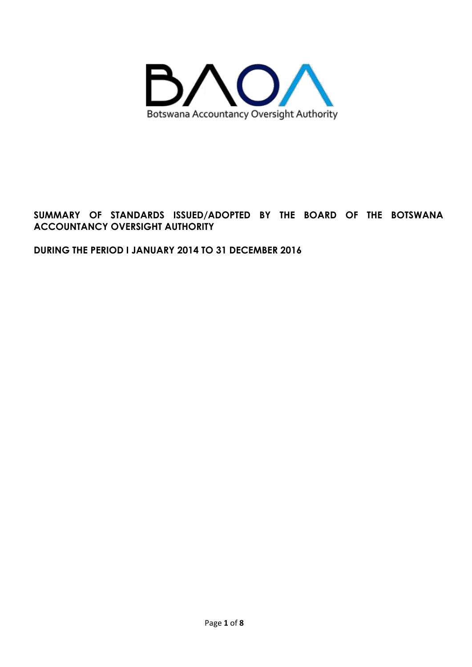

## **SUMMARY OF STANDARDS ISSUED/ADOPTED BY THE BOARD OF THE BOTSWANA ACCOUNTANCY OVERSIGHT AUTHORITY**

### **DURING THE PERIOD I JANUARY 2014 TO 31 DECEMBER 2016**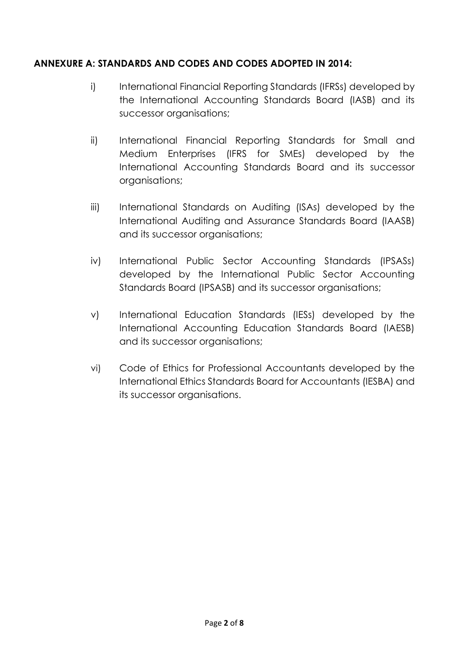## **ANNEXURE A: STANDARDS AND CODES AND CODES ADOPTED IN 2014:**

- i) International Financial Reporting Standards (IFRSs) developed by the International Accounting Standards Board (IASB) and its successor organisations;
- ii) International Financial Reporting Standards for Small and Medium Enterprises (IFRS for SMEs) developed by the International Accounting Standards Board and its successor organisations;
- iii) International Standards on Auditing (ISAs) developed by the International Auditing and Assurance Standards Board (IAASB) and its successor organisations;
- iv) International Public Sector Accounting Standards (IPSASs) developed by the International Public Sector Accounting Standards Board (IPSASB) and its successor organisations;
- v) International Education Standards (IESs) developed by the International Accounting Education Standards Board (IAESB) and its successor organisations;
- vi) Code of Ethics for Professional Accountants developed by the International Ethics Standards Board for Accountants (IESBA) and its successor organisations.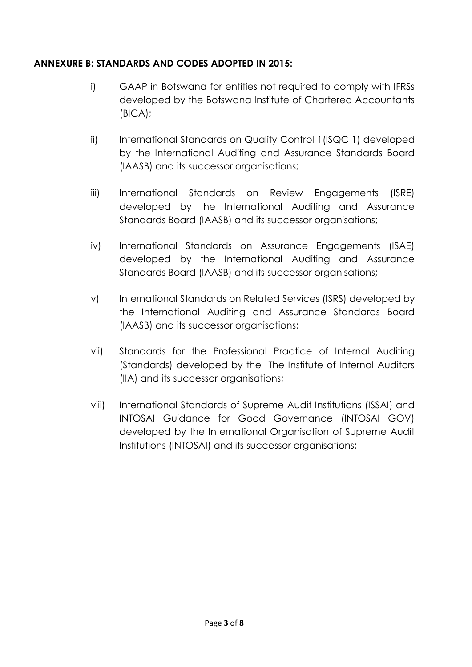## **ANNEXURE B: STANDARDS AND CODES ADOPTED IN 2015:**

- i) GAAP in Botswana for entities not required to comply with IFRSs developed by the Botswana Institute of Chartered Accountants (BICA);
- ii) International Standards on Quality Control 1(ISQC 1) developed by the International Auditing and Assurance Standards Board (IAASB) and its successor organisations;
- iii) International Standards on Review Engagements (ISRE) developed by the International Auditing and Assurance Standards Board (IAASB) and its successor organisations;
- iv) International Standards on Assurance Engagements (ISAE) developed by the International Auditing and Assurance Standards Board (IAASB) and its successor organisations;
- v) International Standards on Related Services (ISRS) developed by the International Auditing and Assurance Standards Board (IAASB) and its successor organisations;
- vii) Standards for the Professional Practice of Internal Auditing (Standards) developed by the The Institute of Internal Auditors (IIA) and its successor organisations;
- viii) International Standards of Supreme Audit Institutions (ISSAI) and INTOSAI Guidance for Good Governance (INTOSAI GOV) developed by the International Organisation of Supreme Audit Institutions (INTOSAI) and its successor organisations;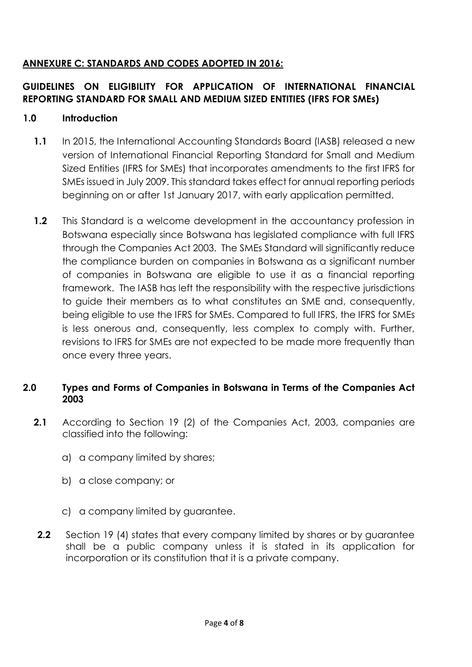# **ANNEXURE C: STANDARDS AND CODES ADOPTED IN 2016:**

# **GUIDELINES ON ELIGIBILITY FOR APPLICATION OF INTERNATIONAL FINANCIAL REPORTING STANDARD FOR SMALL AND MEDIUM SIZED ENTITIES (IFRS FOR SMEs)**

## **1.0 Introduction**

- **1.1** In 2015, the International Accounting Standards Board (IASB) released a new version of International Financial Reporting Standard for Small and Medium Sized Entities (IFRS for SMEs) that incorporates amendments to the first IFRS for SMEs issued in July 2009. This standard takes effect for annual reporting periods beginning on or after 1st January 2017, with early application permitted.
- **1.2** This Standard is a welcome development in the accountancy profession in Botswana especially since Botswana has legislated compliance with full IFRS through the Companies Act 2003. The SMEs Standard will significantly reduce the compliance burden on companies in Botswana as a significant number of companies in Botswana are eligible to use it as a financial reporting framework. The IASB has left the responsibility with the respective jurisdictions to guide their members as to what constitutes an SME and, consequently, being eligible to use the IFRS for SMEs. Compared to full IFRS, the IFRS for SMEs is less onerous and, consequently, less complex to comply with. Further, revisions to IFRS for SMEs are not expected to be made more frequently than once every three years.

### **2.0 Types and Forms of Companies in Botswana in Terms of the Companies Act 2003**

- **2.1** According to Section 19 (2) of the Companies Act, 2003, companies are classified into the following:
	- a) a company limited by shares;
	- b) a close company; or
	- c) a company limited by guarantee.
	- **2.2** Section 19 (4) states that every company limited by shares or by quarantee shall be a public company unless it is stated in its application for incorporation or its constitution that it is a private company.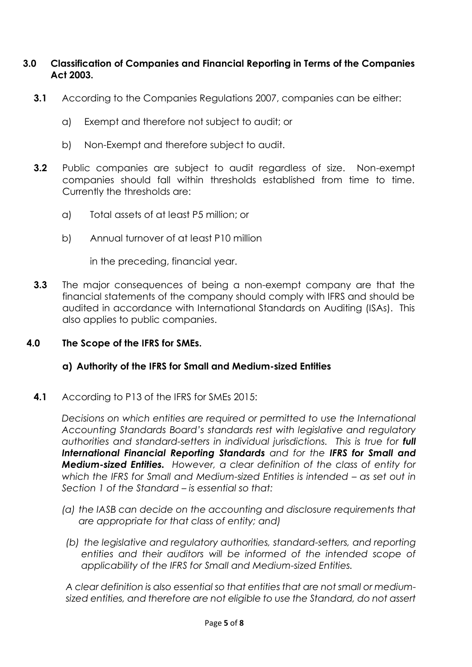### **3.0 Classification of Companies and Financial Reporting in Terms of the Companies Act 2003.**

- **3.1** According to the Companies Regulations 2007, companies can be either:
	- a) Exempt and therefore not subject to audit; or
	- b) Non-Exempt and therefore subject to audit.
- **3.2** Public companies are subject to audit regardless of size. Non-exempt companies should fall within thresholds established from time to time. Currently the thresholds are:
	- a) Total assets of at least P5 million; or
	- b) Annual turnover of at least P10 million

in the preceding, financial year.

**3.3** The major consequences of being a non-exempt company are that the financial statements of the company should comply with IFRS and should be audited in accordance with International Standards on Auditing (ISAs). This also applies to public companies.

#### **4.0 The Scope of the IFRS for SMEs.**

#### **a) Authority of the IFRS for Small and Medium-sized Entities**

**4.1** According to P13 of the IFRS for SMEs 2015:

*Decisions on which entities are required or permitted to use the International Accounting Standards Board's standards rest with legislative and regulatory*  authorities and standard-setters in individual jurisdictions. This is true for **full** *International Financial Reporting Standards and for the IFRS for Small and Medium-sized Entities. However, a clear definition of the class of entity for*  which the IFRS for Small and Medium-sized Entities is intended – as set out in *Section 1 of the Standard – is essential so that:* 

- *(a) the IASB can decide on the accounting and disclosure requirements that are appropriate for that class of entity; and)*
- *(b) the legislative and regulatory authorities, standard-setters, and reporting entities and their auditors will be informed of the intended scope of applicability of the IFRS for Small and Medium-sized Entities.*

*A clear definition is also essential so that entities that are not small or mediumsized entities, and therefore are not eligible to use the Standard, do not assert*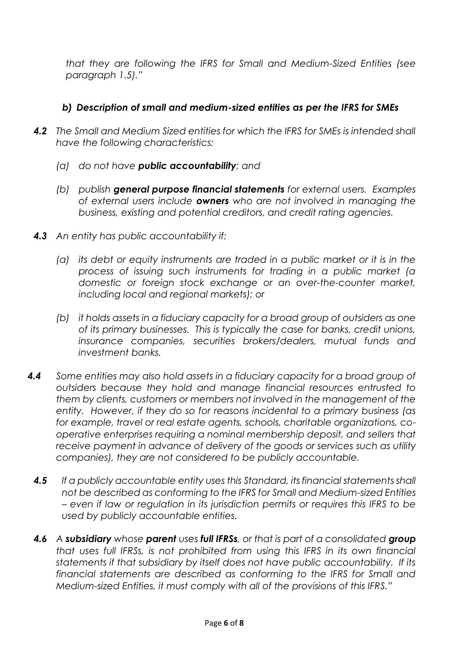*that they are following the IFRS for Small and Medium-Sized Entities (see paragraph 1.5)."*

# *b) Description of small and medium-sized entities as per the IFRS for SMEs*

- *4.2 The Small and Medium Sized entities for which the IFRS for SMEs is intended shall have the following characteristics:*
	- *(a) do not have public accountability; and*
	- *(b) publish general purpose financial statements for external users. Examples of external users include owners who are not involved in managing the business, existing and potential creditors, and credit rating agencies.*
- *4.3 An entity has public accountability if:*
	- *(a) its debt or equity instruments are traded in a public market or it is in the process of issuing such instruments for trading in a public market (a domestic or foreign stock exchange or an over-the-counter market, including local and regional markets); or*
	- *(b) it holds assets in a fiduciary capacity for a broad group of outsiders as one of its primary businesses. This is typically the case for banks, credit unions, insurance companies, securities brokers/dealers, mutual funds and investment banks.*
- *4.4 Some entities may also hold assets in a fiduciary capacity for a broad group of outsiders because they hold and manage financial resources entrusted to them by clients, customers or members not involved in the management of the entity. However, if they do so for reasons incidental to a primary business (as for example, travel or real estate agents, schools, charitable organizations, cooperative enterprises requiring a nominal membership deposit, and sellers that receive payment in advance of delivery of the goods or services such as utility companies), they are not considered to be publicly accountable.*
	- *4.5 If a publicly accountable entity uses this Standard, its financial statements shall not be described as conforming to the IFRS for Small and Medium-sized Entities – even if law or regulation in its jurisdiction permits or requires this IFRS to be used by publicly accountable entities.*
	- *4.6 A subsidiary whose parent uses full IFRSs, or that is part of a consolidated group that uses full IFRSs, is not prohibited from using this IFRS in its own financial statements if that subsidiary by itself does not have public accountability. If its financial statements are described as conforming to the IFRS for Small and Medium-sized Entities, it must comply with all of the provisions of this IFRS."*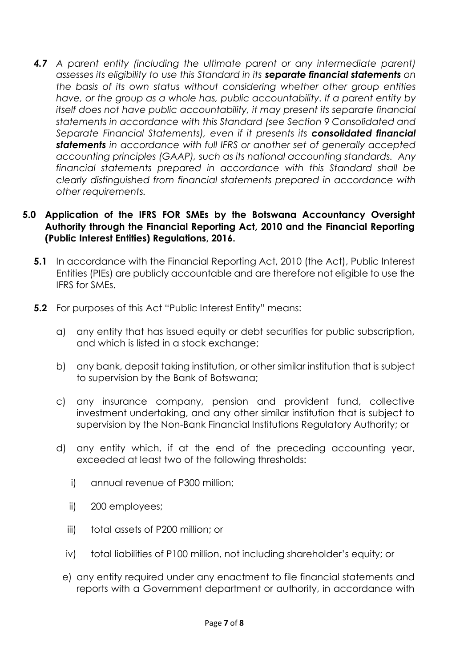*4.7 A parent entity (including the ultimate parent or any intermediate parent) assesses its eligibility to use this Standard in its separate financial statements on the basis of its own status without considering whether other group entities have, or the group as a whole has, public accountability. If a parent entity by itself does not have public accountability, it may present its separate financial statements in accordance with this Standard (see Section 9 Consolidated and Separate Financial Statements), even if it presents its consolidated financial statements in accordance with full IFRS or another set of generally accepted accounting principles (GAAP), such as its national accounting standards. Any financial statements prepared in accordance with this Standard shall be clearly distinguished from financial statements prepared in accordance with other requirements.*

#### **5.0 Application of the IFRS FOR SMEs by the Botswana Accountancy Oversight Authority through the Financial Reporting Act, 2010 and the Financial Reporting (Public Interest Entities) Regulations, 2016.**

- **5.1** In accordance with the Financial Reporting Act, 2010 (the Act), Public Interest Entities (PIEs) are publicly accountable and are therefore not eligible to use the IFRS for SMEs.
- **5.2** For purposes of this Act "Public Interest Entity" means:
	- a) any entity that has issued equity or debt securities for public subscription, and which is listed in a stock exchange;
	- b) any bank, deposit taking institution, or other similar institution that is subject to supervision by the Bank of Botswana;
	- c) any insurance company, pension and provident fund, collective investment undertaking, and any other similar institution that is subject to supervision by the Non-Bank Financial Institutions Regulatory Authority; or
	- d) any entity which, if at the end of the preceding accounting year, exceeded at least two of the following thresholds:
		- i) annual revenue of P300 million;
		- ii) 200 employees;
		- iii) total assets of P200 million; or
		- iv) total liabilities of P100 million, not including shareholder's equity; or
		- e) any entity required under any enactment to file financial statements and reports with a Government department or authority, in accordance with